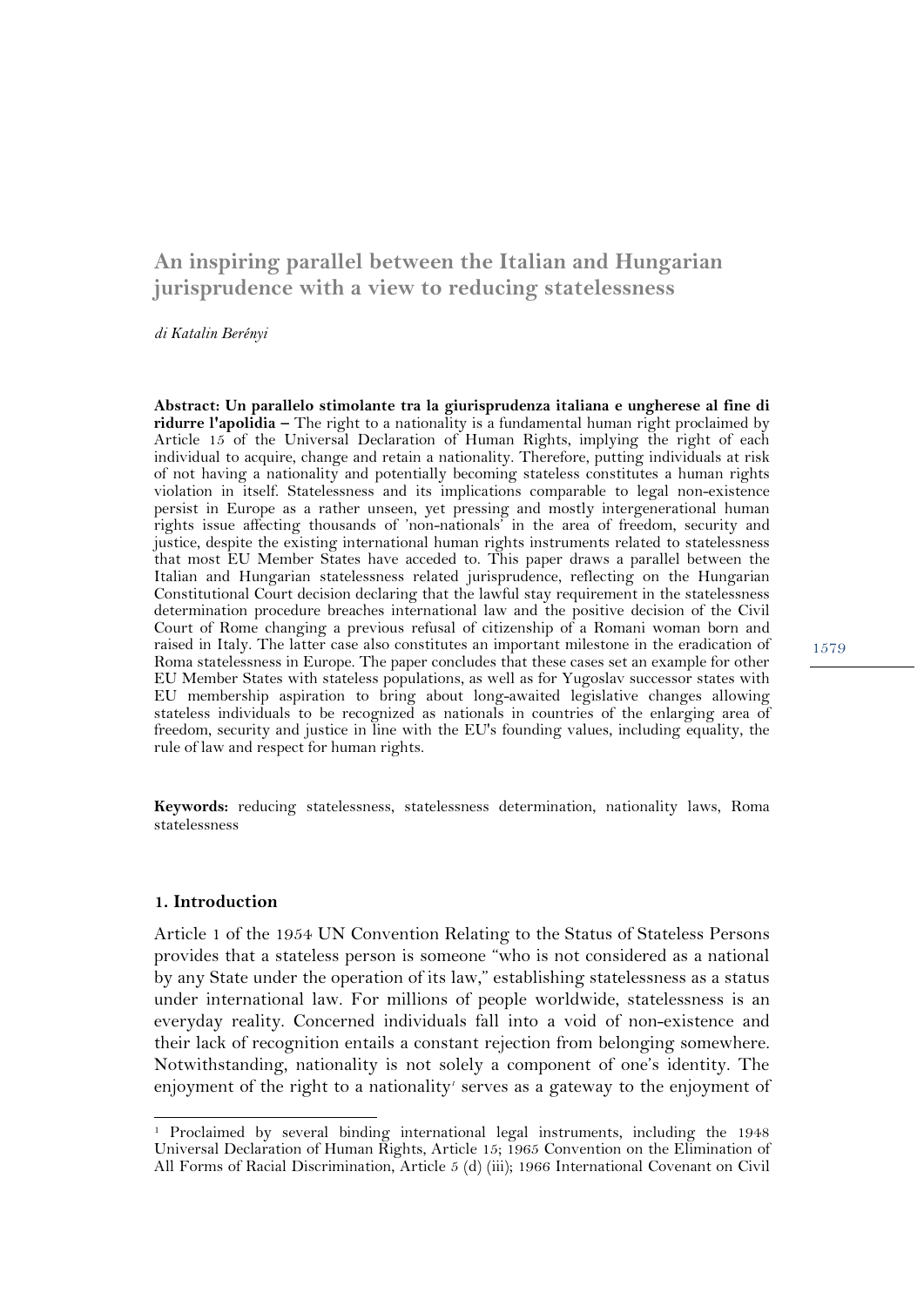# **An inspiring parallel between the Italian and Hungarian jurisprudence with a view to reducing statelessness**

*di Katalin Berényi* 

**Abstract: Un parallelo stimolante tra la giurisprudenza italiana e ungherese al fine di ridurre l'apolidia –** The right to a nationality is a fundamental human right proclaimed by Article 15 of the Universal Declaration of Human Rights, implying the right of each individual to acquire, change and retain a nationality. Therefore, putting individuals at risk of not having a nationality and potentially becoming stateless constitutes a human rights violation in itself. Statelessness and its implications comparable to legal non-existence persist in Europe as a rather unseen, yet pressing and mostly intergenerational human rights issue affecting thousands of 'non-nationals' in the area of freedom, security and justice, despite the existing international human rights instruments related to statelessness that most EU Member States have acceded to. This paper draws a parallel between the Italian and Hungarian statelessness related jurisprudence, reflecting on the Hungarian Constitutional Court decision declaring that the lawful stay requirement in the statelessness determination procedure breaches international law and the positive decision of the Civil Court of Rome changing a previous refusal of citizenship of a Romani woman born and raised in Italy. The latter case also constitutes an important milestone in the eradication of Roma statelessness in Europe. The paper concludes that these cases set an example for other EU Member States with stateless populations, as well as for Yugoslav successor states with EU membership aspiration to bring about long-awaited legislative changes allowing stateless individuals to be recognized as nationals in countries of the enlarging area of freedom, security and justice in line with the EU's founding values, including equality, the rule of law and respect for human rights.

**Keywords:** reducing statelessness, statelessness determination, nationality laws, Roma statelessness

#### **1. Introduction**

l

Article 1 of the 1954 UN Convention Relating to the Status of Stateless Persons provides that a stateless person is someone "who is not considered as a national by any State under the operation of its law," establishing statelessness as a status under international law. For millions of people worldwide, statelessness is an everyday reality. Concerned individuals fall into a void of non-existence and their lack of recognition entails a constant rejection from belonging somewhere. Notwithstanding, nationality is not solely a component of one's identity. The enjoyment of the right to a nationality' serves as a gateway to the enjoyment of

<sup>1</sup> Proclaimed by several binding international legal instruments, including the 1948 Universal Declaration of Human Rights, Article 15; 1965 Convention on the Elimination of All Forms of Racial Discrimination, Article 5 (d) (iii); 1966 International Covenant on Civil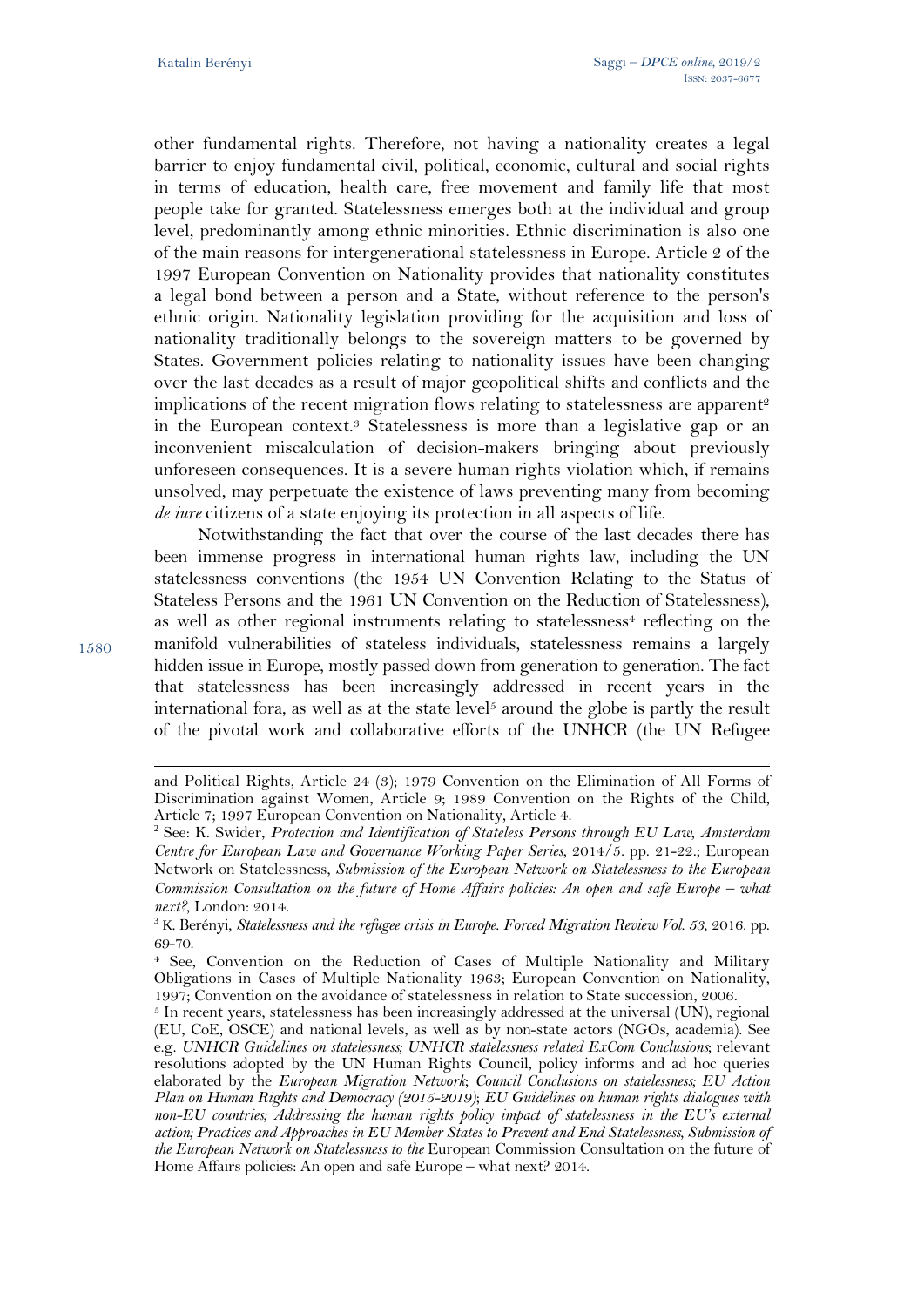1580

 $\overline{a}$ 

other fundamental rights. Therefore, not having a nationality creates a legal barrier to enjoy fundamental civil, political, economic, cultural and social rights in terms of education, health care, free movement and family life that most people take for granted. Statelessness emerges both at the individual and group level, predominantly among ethnic minorities. Ethnic discrimination is also one of the main reasons for intergenerational statelessness in Europe. Article 2 of the 1997 European Convention on Nationality provides that nationality constitutes a legal bond between a person and a State, without reference to the person's ethnic origin. Nationality legislation providing for the acquisition and loss of nationality traditionally belongs to the sovereign matters to be governed by States. Government policies relating to nationality issues have been changing over the last decades as a result of major geopolitical shifts and conflicts and the implications of the recent migration flows relating to statelessness are apparent<sup>2</sup> in the European context.<sup>3</sup> Statelessness is more than a legislative gap or an inconvenient miscalculation of decision-makers bringing about previously unforeseen consequences. It is a severe human rights violation which, if remains unsolved, may perpetuate the existence of laws preventing many from becoming *de iure* citizens of a state enjoying its protection in all aspects of life.

Notwithstanding the fact that over the course of the last decades there has been immense progress in international human rights law, including the UN statelessness conventions (the 1954 UN Convention Relating to the Status of Stateless Persons and the 1961 UN Convention on the Reduction of Statelessness), as well as other regional instruments relating to statelessness<sup>4</sup> reflecting on the manifold vulnerabilities of stateless individuals, statelessness remains a largely hidden issue in Europe, mostly passed down from generation to generation. The fact that statelessness has been increasingly addressed in recent years in the international fora, as well as at the state level<sup>5</sup> around the globe is partly the result of the pivotal work and collaborative efforts of the UNHCR (the UN Refugee

and Political Rights, Article 24 (3); 1979 Convention on the Elimination of All Forms of Discrimination against Women, Article 9; 1989 Convention on the Rights of the Child, Article 7; 1997 European Convention on Nationality, Article 4.

<sup>2</sup> See: K. Swider, *Protection and Identification of Stateless Persons through EU Law, Amsterdam Centre for European Law and Governance Working Paper Series*, 2014/5. pp. 21-22.; European Network on Statelessness, *Submission of the European Network on Statelessness to the European Commission Consultation on the future of Home Affairs policies: An open and safe Europe – what next?*, London: 2014.

<sup>3</sup> K. Berényi, *Statelessness and the refugee crisis in Europe. Forced Migration Review Vol. 53*, 2016. pp. 69-70.

<sup>4</sup> See, Convention on the Reduction of Cases of Multiple Nationality and Military Obligations in Cases of Multiple Nationality 1963; European Convention on Nationality, 1997; Convention on the avoidance of statelessness in relation to State succession, 2006.

 $5$  In recent years, statelessness has been increasingly addressed at the universal (UN), regional (EU, CoE, OSCE) and national levels, as well as by non-state actors (NGOs, academia). See e.g. *UNHCR Guidelines on statelessness; UNHCR statelessness related ExCom Conclusions*; relevant resolutions adopted by the UN Human Rights Council, policy informs and ad hoc queries elaborated by the *European Migration Network*; *Council Conclusions on statelessness; EU Action Plan on Human Rights and Democracy (2015-2019)*; *EU Guidelines on human rights dialogues with non-EU countries; Addressing the human rights policy impact of statelessness in the EU's external action; Practices and Approaches in EU Member States to Prevent and End Statelessness, Submission of the European Network on Statelessness to the* European Commission Consultation on the future of Home Affairs policies: An open and safe Europe – what next? 2014.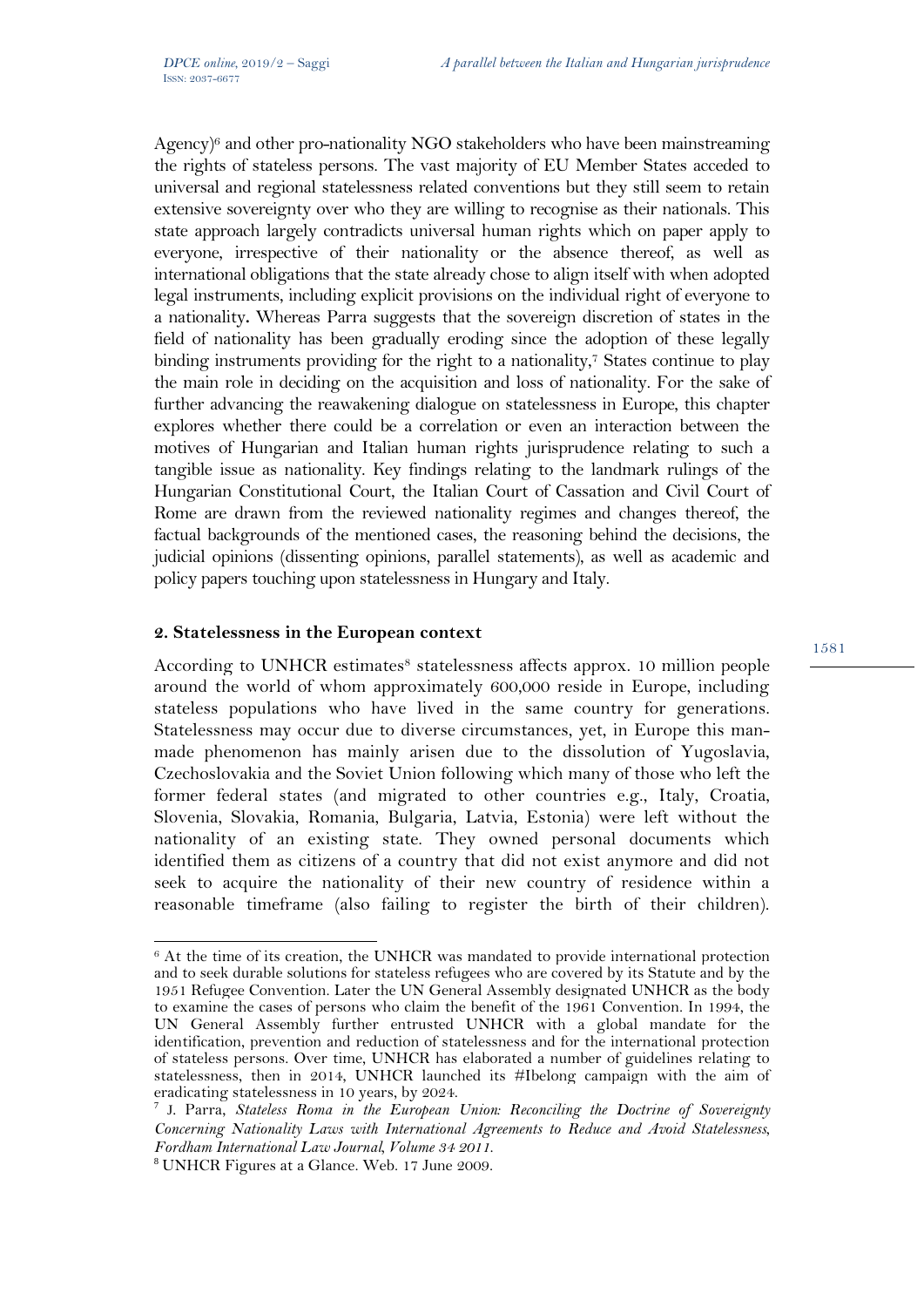Agency)<sup>6</sup> and other pro-nationality NGO stakeholders who have been mainstreaming the rights of stateless persons. The vast majority of EU Member States acceded to universal and regional statelessness related conventions but they still seem to retain extensive sovereignty over who they are willing to recognise as their nationals. This state approach largely contradicts universal human rights which on paper apply to everyone, irrespective of their nationality or the absence thereof, as well as international obligations that the state already chose to align itself with when adopted legal instruments, including explicit provisions on the individual right of everyone to a nationality**.** Whereas Parra suggests that the sovereign discretion of states in the field of nationality has been gradually eroding since the adoption of these legally binding instruments providing for the right to a nationality,<sup>7</sup> States continue to play the main role in deciding on the acquisition and loss of nationality. For the sake of further advancing the reawakening dialogue on statelessness in Europe, this chapter explores whether there could be a correlation or even an interaction between the motives of Hungarian and Italian human rights jurisprudence relating to such a tangible issue as nationality. Key findings relating to the landmark rulings of the Hungarian Constitutional Court, the Italian Court of Cassation and Civil Court of Rome are drawn from the reviewed nationality regimes and changes thereof, the factual backgrounds of the mentioned cases, the reasoning behind the decisions, the judicial opinions (dissenting opinions, parallel statements), as well as academic and policy papers touching upon statelessness in Hungary and Italy.

#### **2. Statelessness in the European context**

According to UNHCR estimates<sup>8</sup> statelessness affects approx. 10 million people around the world of whom approximately 600,000 reside in Europe, including stateless populations who have lived in the same country for generations. Statelessness may occur due to diverse circumstances, yet, in Europe this manmade phenomenon has mainly arisen due to the dissolution of Yugoslavia, Czechoslovakia and the Soviet Union following which many of those who left the former federal states (and migrated to other countries e.g., Italy, Croatia, Slovenia, Slovakia, Romania, Bulgaria, Latvia, Estonia) were left without the nationality of an existing state. They owned personal documents which identified them as citizens of a country that did not exist anymore and did not seek to acquire the nationality of their new country of residence within a reasonable timeframe (also failing to register the birth of their children).

 $\overline{a}$ 

<sup>6</sup> At the time of its creation, the UNHCR was mandated to provide international protection and to seek durable solutions for stateless refugees who are covered by its Statute and by the 1951 Refugee Convention. Later the UN General Assembly designated UNHCR as the body to examine the cases of persons who claim the benefit of the 1961 Convention. In 1994, the UN General Assembly further entrusted UNHCR with a global mandate for the identification, prevention and reduction of statelessness and for the international protection of stateless persons. Over time, UNHCR has elaborated a number of guidelines relating to statelessness, then in 2014, UNHCR launched its #Ibelong campaign with the aim of eradicating statelessness in 10 years, by 2024.

<sup>7</sup> J. Parra, *Stateless Roma in the European Union: Reconciling the Doctrine of Sovereignty Concerning Nationality Laws with International Agreements to Reduce and Avoid Statelessness*, *Fordham International Law Journal, Volume 34 2011*.

<sup>8</sup> UNHCR Figures at a Glance. Web. 17 June 2009.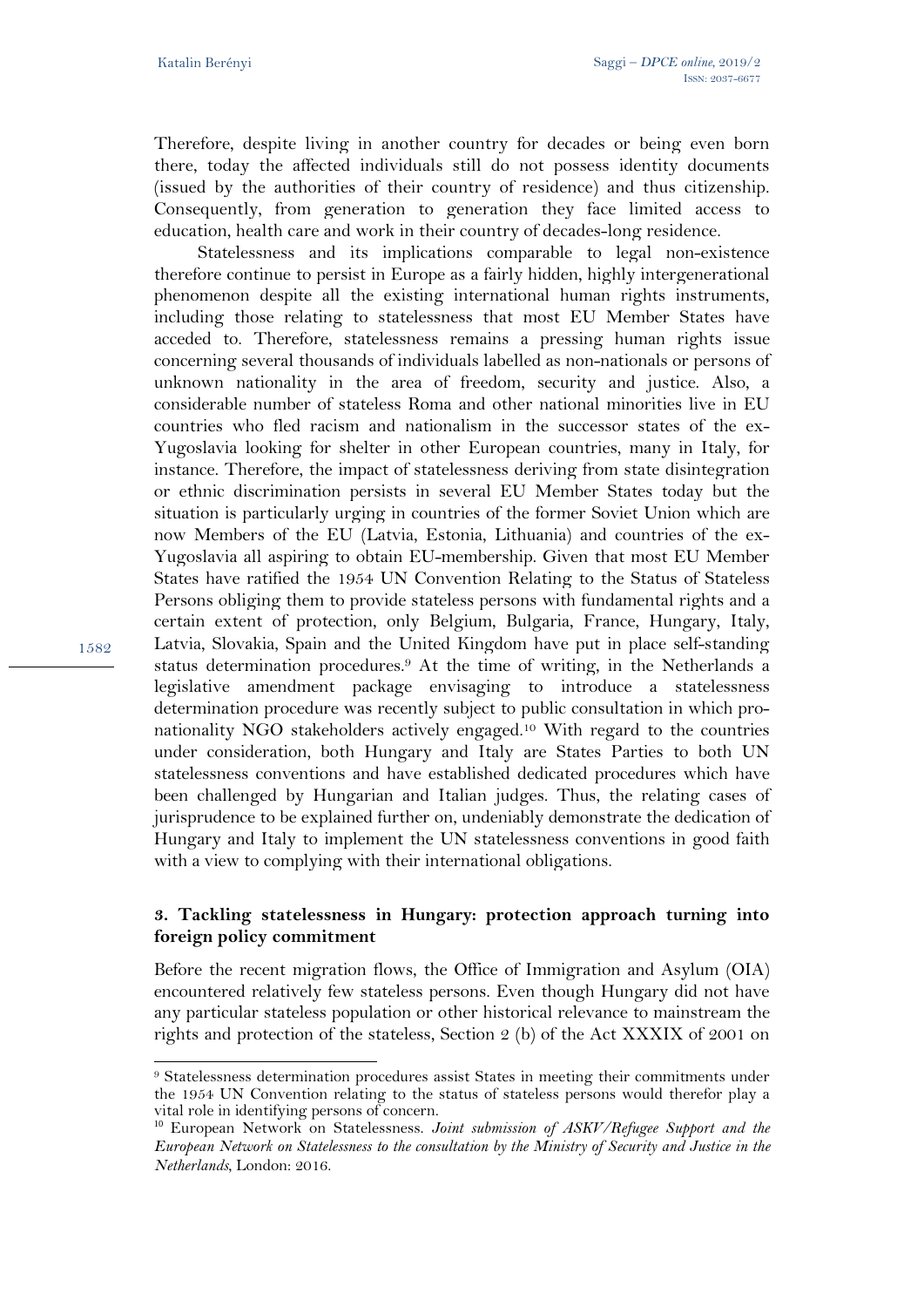Therefore, despite living in another country for decades or being even born there, today the affected individuals still do not possess identity documents (issued by the authorities of their country of residence) and thus citizenship. Consequently, from generation to generation they face limited access to education, health care and work in their country of decades-long residence.

Statelessness and its implications comparable to legal non-existence therefore continue to persist in Europe as a fairly hidden, highly intergenerational phenomenon despite all the existing international human rights instruments, including those relating to statelessness that most EU Member States have acceded to. Therefore, statelessness remains a pressing human rights issue concerning several thousands of individuals labelled as non-nationals or persons of unknown nationality in the area of freedom, security and justice. Also, a considerable number of stateless Roma and other national minorities live in EU countries who fled racism and nationalism in the successor states of the ex-Yugoslavia looking for shelter in other European countries, many in Italy, for instance. Therefore, the impact of statelessness deriving from state disintegration or ethnic discrimination persists in several EU Member States today but the situation is particularly urging in countries of the former Soviet Union which are now Members of the EU (Latvia, Estonia, Lithuania) and countries of the ex-Yugoslavia all aspiring to obtain EU-membership. Given that most EU Member States have ratified the 1954 UN Convention Relating to the Status of Stateless Persons obliging them to provide stateless persons with fundamental rights and a certain extent of protection, only Belgium, Bulgaria, France, Hungary, Italy, Latvia, Slovakia, Spain and the United Kingdom have put in place self-standing status determination procedures.9 At the time of writing, in the Netherlands a legislative amendment package envisaging to introduce a statelessness determination procedure was recently subject to public consultation in which pronationality NGO stakeholders actively engaged.10 With regard to the countries under consideration, both Hungary and Italy are States Parties to both UN statelessness conventions and have established dedicated procedures which have been challenged by Hungarian and Italian judges. Thus, the relating cases of jurisprudence to be explained further on, undeniably demonstrate the dedication of Hungary and Italy to implement the UN statelessness conventions in good faith with a view to complying with their international obligations.

## **3. Tackling statelessness in Hungary: protection approach turning into foreign policy commitment**

Before the recent migration flows, the Office of Immigration and Asylum (OIA) encountered relatively few stateless persons. Even though Hungary did not have any particular stateless population or other historical relevance to mainstream the rights and protection of the stateless, Section 2 (b) of the Act XXXIX of 2001 on

 $\overline{a}$ 9 Statelessness determination procedures assist States in meeting their commitments under the 1954 UN Convention relating to the status of stateless persons would therefor play a vital role in identifying persons of concern.

<sup>10</sup> European Network on Statelessness. *Joint submission of ASKV/Refugee Support and the European Network on Statelessness to the consultation by the Ministry of Security and Justice in the Netherlands*, London: 2016.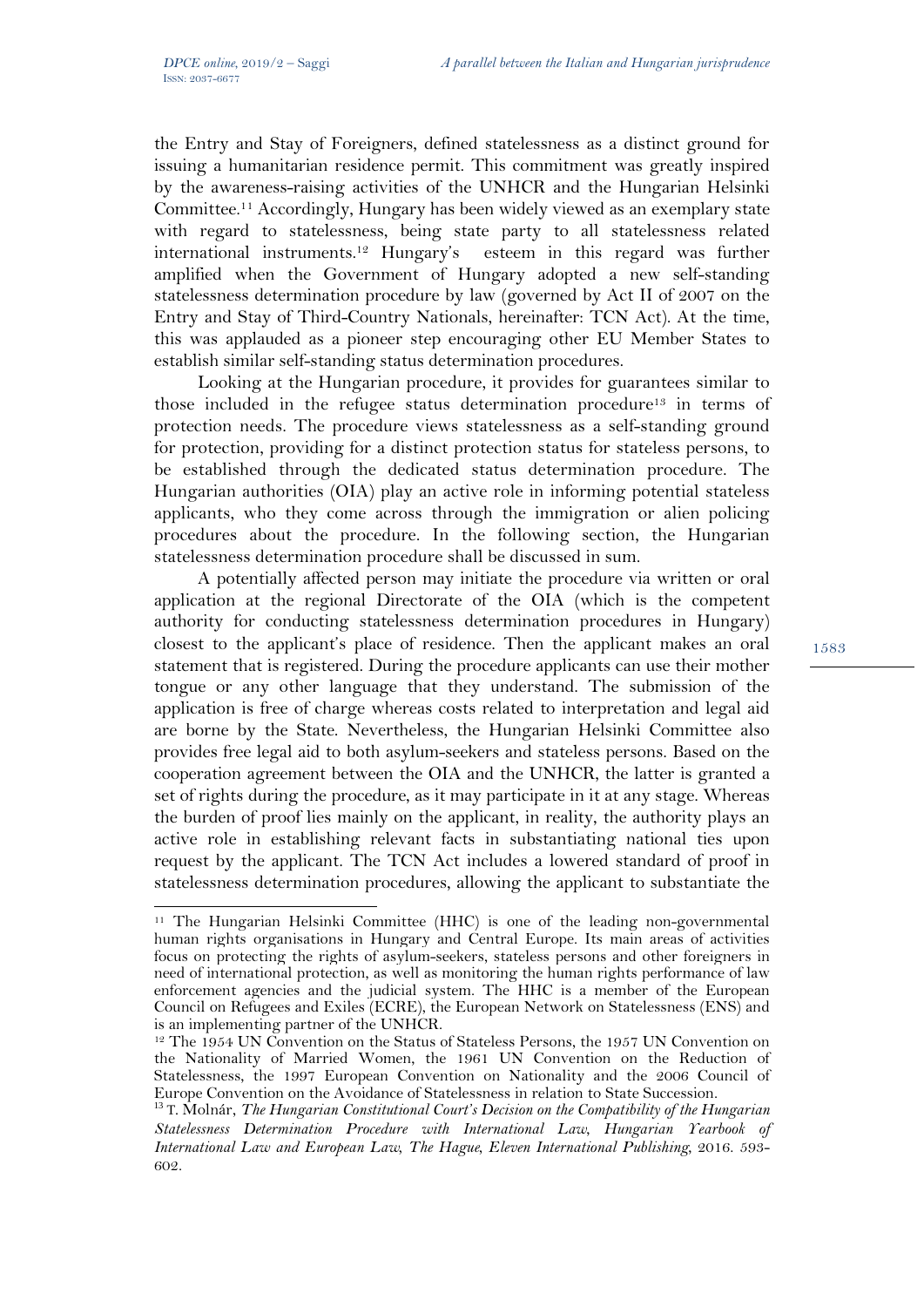l

the Entry and Stay of Foreigners, defined statelessness as a distinct ground for issuing a humanitarian residence permit. This commitment was greatly inspired by the awareness-raising activities of the UNHCR and the Hungarian Helsinki Committee.11 Accordingly, Hungary has been widely viewed as an exemplary state with regard to statelessness, being state party to all statelessness related international instruments.12 Hungary's esteem in this regard was further amplified when the Government of Hungary adopted a new self-standing statelessness determination procedure by law (governed by Act II of 2007 on the Entry and Stay of Third-Country Nationals, hereinafter: TCN Act). At the time, this was applauded as a pioneer step encouraging other EU Member States to establish similar self-standing status determination procedures.

Looking at the Hungarian procedure, it provides for guarantees similar to those included in the refugee status determination procedure13 in terms of protection needs. The procedure views statelessness as a self-standing ground for protection, providing for a distinct protection status for stateless persons, to be established through the dedicated status determination procedure. The Hungarian authorities (OIA) play an active role in informing potential stateless applicants, who they come across through the immigration or alien policing procedures about the procedure. In the following section, the Hungarian statelessness determination procedure shall be discussed in sum.

A potentially affected person may initiate the procedure via written or oral application at the regional Directorate of the OIA (which is the competent authority for conducting statelessness determination procedures in Hungary) closest to the applicant's place of residence. Then the applicant makes an oral statement that is registered. During the procedure applicants can use their mother tongue or any other language that they understand. The submission of the application is free of charge whereas costs related to interpretation and legal aid are borne by the State. Nevertheless, the Hungarian Helsinki Committee also provides free legal aid to both asylum-seekers and stateless persons. Based on the cooperation agreement between the OIA and the UNHCR, the latter is granted a set of rights during the procedure, as it may participate in it at any stage. Whereas the burden of proof lies mainly on the applicant, in reality, the authority plays an active role in establishing relevant facts in substantiating national ties upon request by the applicant. The TCN Act includes a lowered standard of proof in statelessness determination procedures, allowing the applicant to substantiate the

<sup>11</sup> The Hungarian Helsinki Committee (HHC) is one of the leading non-governmental human rights organisations in Hungary and Central Europe. Its main areas of activities focus on protecting the rights of asylum-seekers, stateless persons and other foreigners in need of international protection, as well as monitoring the human rights performance of law enforcement agencies and the judicial system. The HHC is a member of the European Council on Refugees and Exiles (ECRE), the European Network on Statelessness (ENS) and is an implementing partner of the UNHCR.

<sup>12</sup> The 1954 UN Convention on the Status of Stateless Persons, the 1957 UN Convention on the Nationality of Married Women, the 1961 UN Convention on the Reduction of Statelessness, the 1997 European Convention on Nationality and the 2006 Council of Europe Convention on the Avoidance of Statelessness in relation to State Succession.

<sup>13</sup> T. Molnár, *The Hungarian Constitutional Court's Decision on the Compatibility of the Hungarian Statelessness Determination Procedure with International Law*, *Hungarian Yearbook of International Law and European Law, The Hague, Eleven International Publishing*, 2016. 593- 602.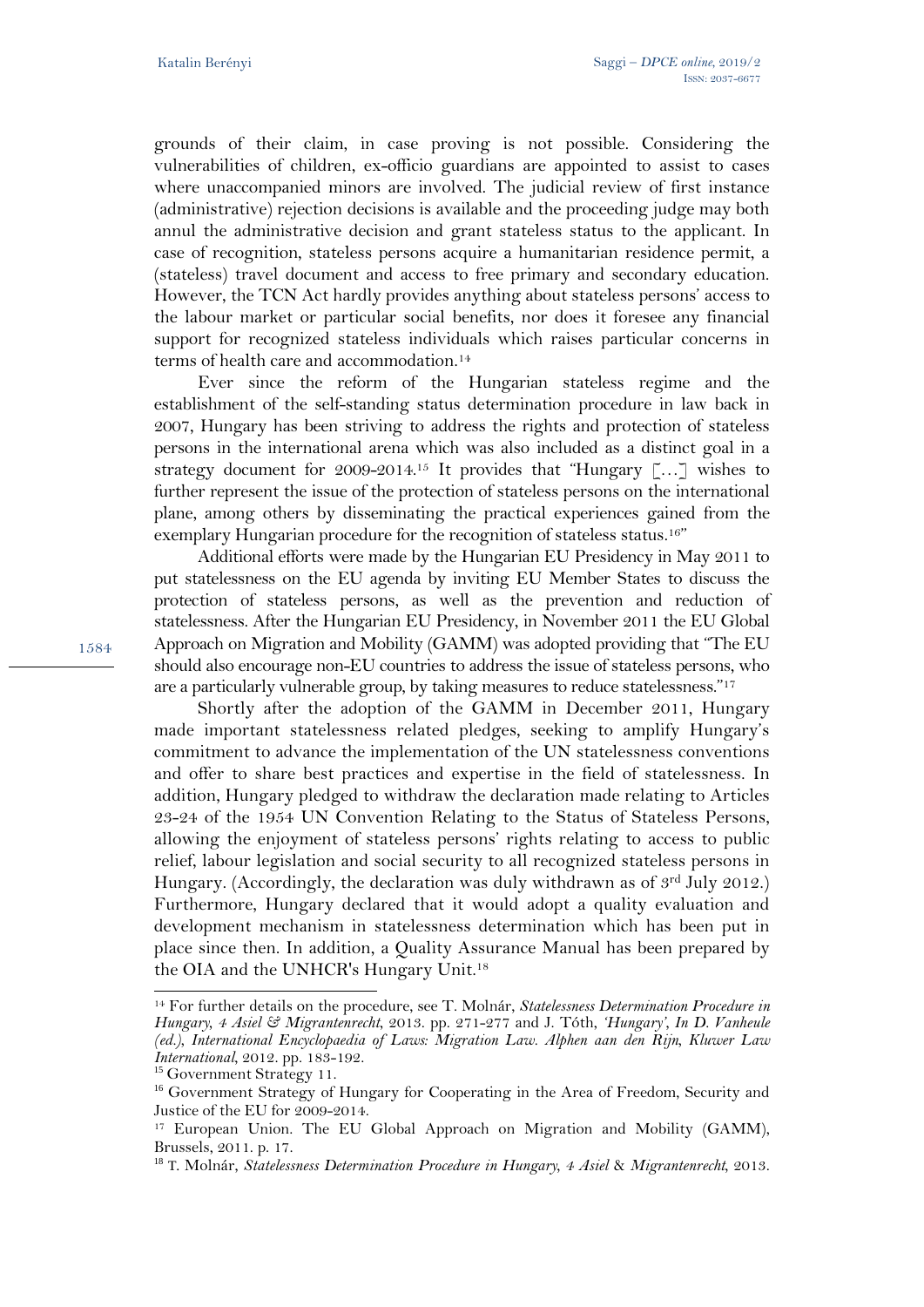grounds of their claim, in case proving is not possible. Considering the vulnerabilities of children, ex-officio guardians are appointed to assist to cases where unaccompanied minors are involved. The judicial review of first instance (administrative) rejection decisions is available and the proceeding judge may both annul the administrative decision and grant stateless status to the applicant. In case of recognition, stateless persons acquire a humanitarian residence permit, a (stateless) travel document and access to free primary and secondary education. However, the TCN Act hardly provides anything about stateless persons' access to the labour market or particular social benefits, nor does it foresee any financial support for recognized stateless individuals which raises particular concerns in terms of health care and accommodation.14

Ever since the reform of the Hungarian stateless regime and the establishment of the self-standing status determination procedure in law back in 2007, Hungary has been striving to address the rights and protection of stateless persons in the international arena which was also included as a distinct goal in a strategy document for 2009-2014.15 It provides that "Hungary […] wishes to further represent the issue of the protection of stateless persons on the international plane, among others by disseminating the practical experiences gained from the exemplary Hungarian procedure for the recognition of stateless status.<sup>16"</sup>

Additional efforts were made by the Hungarian EU Presidency in May 2011 to put statelessness on the EU agenda by inviting EU Member States to discuss the protection of stateless persons, as well as the prevention and reduction of statelessness. After the Hungarian EU Presidency, in November 2011 the EU Global Approach on Migration and Mobility (GAMM) was adopted providing that "The EU should also encourage non-EU countries to address the issue of stateless persons, who are a particularly vulnerable group, by taking measures to reduce statelessness."17

Shortly after the adoption of the GAMM in December 2011, Hungary made important statelessness related pledges, seeking to amplify Hungary's commitment to advance the implementation of the UN statelessness conventions and offer to share best practices and expertise in the field of statelessness. In addition, Hungary pledged to withdraw the declaration made relating to Articles 23-24 of the 1954 UN Convention Relating to the Status of Stateless Persons, allowing the enjoyment of stateless persons' rights relating to access to public relief, labour legislation and social security to all recognized stateless persons in Hungary. (Accordingly, the declaration was duly withdrawn as of  $3<sup>rd</sup>$  July 2012.) Furthermore, Hungary declared that it would adopt a quality evaluation and development mechanism in statelessness determination which has been put in place since then. In addition, a Quality Assurance Manual has been prepared by the OIA and the UNHCR's Hungary Unit.18

 $\overline{a}$ 

<sup>14</sup> For further details on the procedure, see T. Molnár, *Statelessness Determination Procedure in Hungary, 4 Asiel & Migrantenrecht*, 2013. pp. 271-277 and J. Tóth, *'Hungary', In D. Vanheule (ed.), International Encyclopaedia of Laws: Migration Law. Alphen aan den Rijn, Kluwer Law International*, 2012. pp. 183-192. <sup>15</sup> Government Strategy 11.

<sup>&</sup>lt;sup>16</sup> Government Strategy of Hungary for Cooperating in the Area of Freedom, Security and Justice of the EU for 2009-2014.

<sup>&</sup>lt;sup>17</sup> European Union. The EU Global Approach on Migration and Mobility (GAMM), Brussels, 2011. p. 17.

<sup>18</sup> T. Molnár, *Statelessness Determination Procedure in Hungary, 4 Asiel* & *Migrantenrecht,* 2013.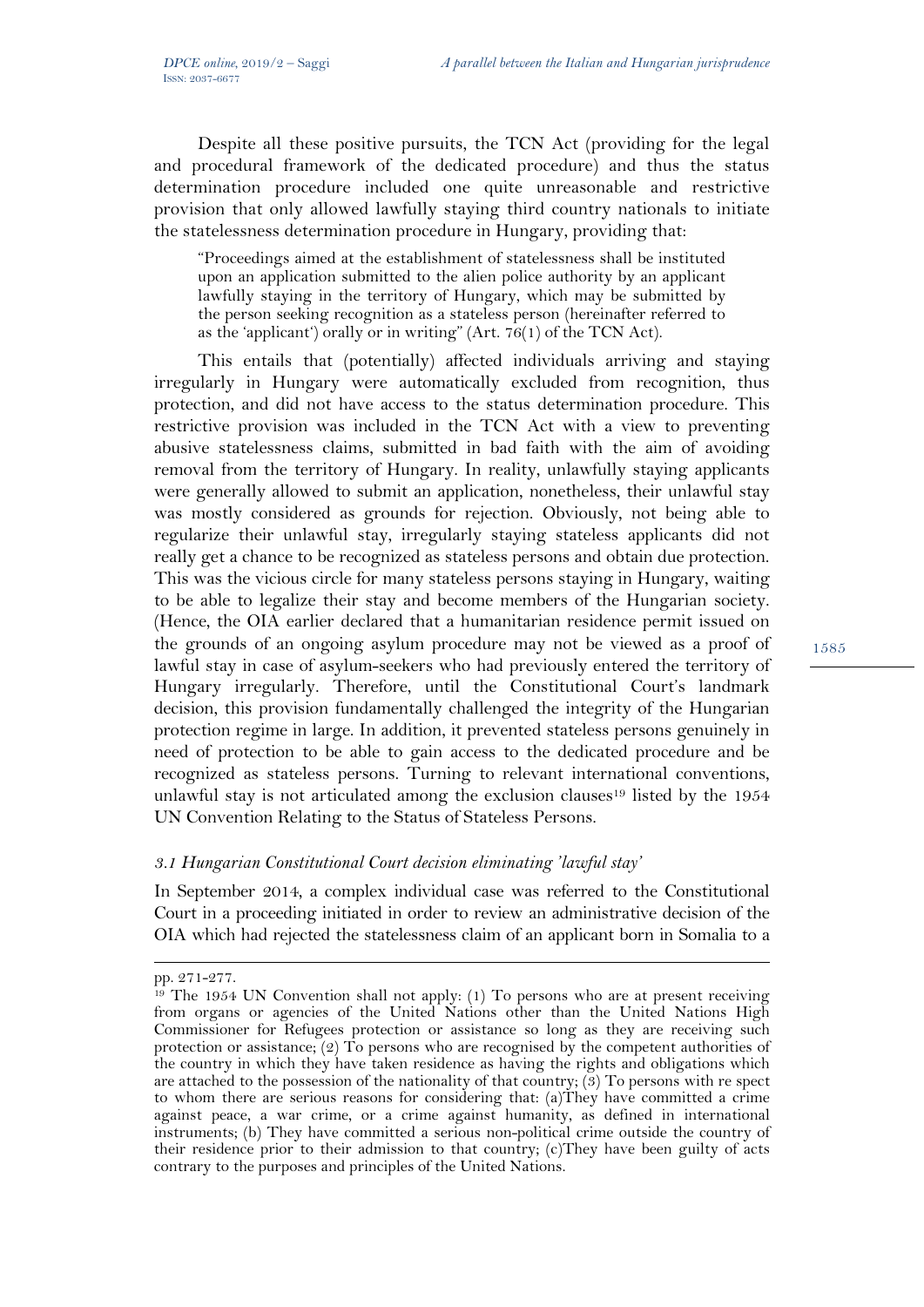Despite all these positive pursuits, the TCN Act (providing for the legal and procedural framework of the dedicated procedure) and thus the status determination procedure included one quite unreasonable and restrictive provision that only allowed lawfully staying third country nationals to initiate the statelessness determination procedure in Hungary, providing that:

"Proceedings aimed at the establishment of statelessness shall be instituted upon an application submitted to the alien police authority by an applicant lawfully staying in the territory of Hungary, which may be submitted by the person seeking recognition as a stateless person (hereinafter referred to as the 'applicant') orally or in writing" (Art.  $76(1)$  of the TCN Act).

This entails that (potentially) affected individuals arriving and staying irregularly in Hungary were automatically excluded from recognition, thus protection, and did not have access to the status determination procedure. This restrictive provision was included in the TCN Act with a view to preventing abusive statelessness claims, submitted in bad faith with the aim of avoiding removal from the territory of Hungary. In reality, unlawfully staying applicants were generally allowed to submit an application, nonetheless, their unlawful stay was mostly considered as grounds for rejection. Obviously, not being able to regularize their unlawful stay, irregularly staying stateless applicants did not really get a chance to be recognized as stateless persons and obtain due protection. This was the vicious circle for many stateless persons staying in Hungary, waiting to be able to legalize their stay and become members of the Hungarian society. (Hence, the OIA earlier declared that a humanitarian residence permit issued on the grounds of an ongoing asylum procedure may not be viewed as a proof of lawful stay in case of asylum-seekers who had previously entered the territory of Hungary irregularly. Therefore, until the Constitutional Court's landmark decision, this provision fundamentally challenged the integrity of the Hungarian protection regime in large. In addition, it prevented stateless persons genuinely in need of protection to be able to gain access to the dedicated procedure and be recognized as stateless persons. Turning to relevant international conventions, unlawful stay is not articulated among the exclusion clauses<sup>19</sup> listed by the  $1954$ UN Convention Relating to the Status of Stateless Persons.

### *3.1 Hungarian Constitutional Court decision eliminating 'lawful stay'*

In September 2014, a complex individual case was referred to the Constitutional Court in a proceeding initiated in order to review an administrative decision of the OIA which had rejected the statelessness claim of an applicant born in Somalia to a

 $\overline{a}$ 

pp. 271-277.

<sup>&</sup>lt;sup>19</sup> The 1954 UN Convention shall not apply: (1) To persons who are at present receiving from organs or agencies of the United Nations other than the United Nations High Commissioner for Refugees protection or assistance so long as they are receiving such protection or assistance;  $(2)$  To persons who are recognised by the competent authorities of the country in which they have taken residence as having the rights and obligations which are attached to the possession of the nationality of that country;  $(3)$  To persons with re spect to whom there are serious reasons for considering that: (a)They have committed a crime against peace, a war crime, or a crime against humanity, as defined in international instruments; (b) They have committed a serious non-political crime outside the country of their residence prior to their admission to that country; (c)They have been guilty of acts contrary to the purposes and principles of the United Nations.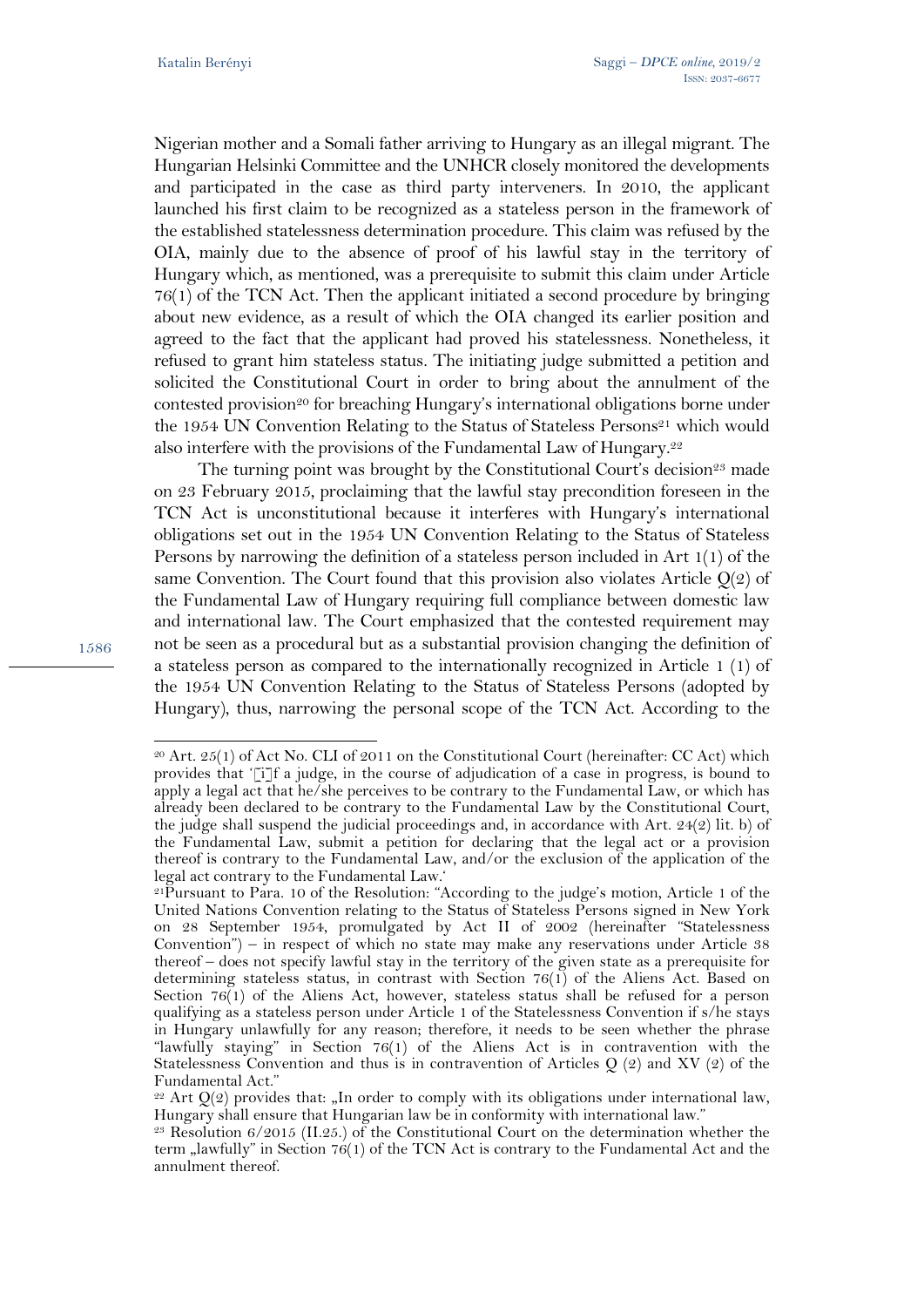Nigerian mother and a Somali father arriving to Hungary as an illegal migrant. The Hungarian Helsinki Committee and the UNHCR closely monitored the developments and participated in the case as third party interveners. In 2010, the applicant launched his first claim to be recognized as a stateless person in the framework of the established statelessness determination procedure. This claim was refused by the OIA, mainly due to the absence of proof of his lawful stay in the territory of Hungary which, as mentioned, was a prerequisite to submit this claim under Article 76(1) of the TCN Act. Then the applicant initiated a second procedure by bringing about new evidence, as a result of which the OIA changed its earlier position and agreed to the fact that the applicant had proved his statelessness. Nonetheless, it refused to grant him stateless status. The initiating judge submitted a petition and solicited the Constitutional Court in order to bring about the annulment of the contested provision<sup>20</sup> for breaching Hungary's international obligations borne under the 1954 UN Convention Relating to the Status of Stateless Persons<sup>21</sup> which would also interfere with the provisions of the Fundamental Law of Hungary.<sup>22</sup>

The turning point was brought by the Constitutional Court's decision<sup>23</sup> made on 23 February 2015, proclaiming that the lawful stay precondition foreseen in the TCN Act is unconstitutional because it interferes with Hungary's international obligations set out in the 1954 UN Convention Relating to the Status of Stateless Persons by narrowing the definition of a stateless person included in Art 1(1) of the same Convention. The Court found that this provision also violates Article  $Q(2)$  of the Fundamental Law of Hungary requiring full compliance between domestic law and international law. The Court emphasized that the contested requirement may not be seen as a procedural but as a substantial provision changing the definition of a stateless person as compared to the internationally recognized in Article 1 (1) of the 1954 UN Convention Relating to the Status of Stateless Persons (adopted by Hungary), thus, narrowing the personal scope of the TCN Act. According to the

1586

<sup>20</sup> Art. 25(1) of Act No. CLI of 2011 on the Constitutional Court (hereinafter: CC Act) which provides that '[i]f a judge, in the course of adjudication of a case in progress, is bound to apply a legal act that he/she perceives to be contrary to the Fundamental Law, or which has already been declared to be contrary to the Fundamental Law by the Constitutional Court, the judge shall suspend the judicial proceedings and, in accordance with Art. 24(2) lit. b) of the Fundamental Law, submit a petition for declaring that the legal act or a provision thereof is contrary to the Fundamental Law, and/or the exclusion of the application of the legal act contrary to the Fundamental Law.'

<sup>21</sup>Pursuant to Para. 10 of the Resolution: "According to the judge's motion, Article 1 of the United Nations Convention relating to the Status of Stateless Persons signed in New York on 28 September 1954, promulgated by Act II of 2002 (hereinafter "Statelessness Convention") – in respect of which no state may make any reservations under Article 38 thereof – does not specify lawful stay in the territory of the given state as a prerequisite for determining stateless status, in contrast with Section 76(1) of the Aliens Act. Based on Section  $76(1)$  of the Aliens Act, however, stateless status shall be refused for a person qualifying as a stateless person under Article 1 of the Statelessness Convention if s/he stays in Hungary unlawfully for any reason; therefore, it needs to be seen whether the phrase "lawfully staying" in Section 76(1) of the Aliens Act is in contravention with the Statelessness Convention and thus is in contravention of Articles Q (2) and XV (2) of the Fundamental Act."

 $22$  Art Q(2) provides that: "In order to comply with its obligations under international law, Hungary shall ensure that Hungarian law be in conformity with international law."

<sup>&</sup>lt;sup>23</sup> Resolution  $6/2015$  (II.25.) of the Constitutional Court on the determination whether the term "lawfully" in Section 76(1) of the TCN Act is contrary to the Fundamental Act and the annulment thereof.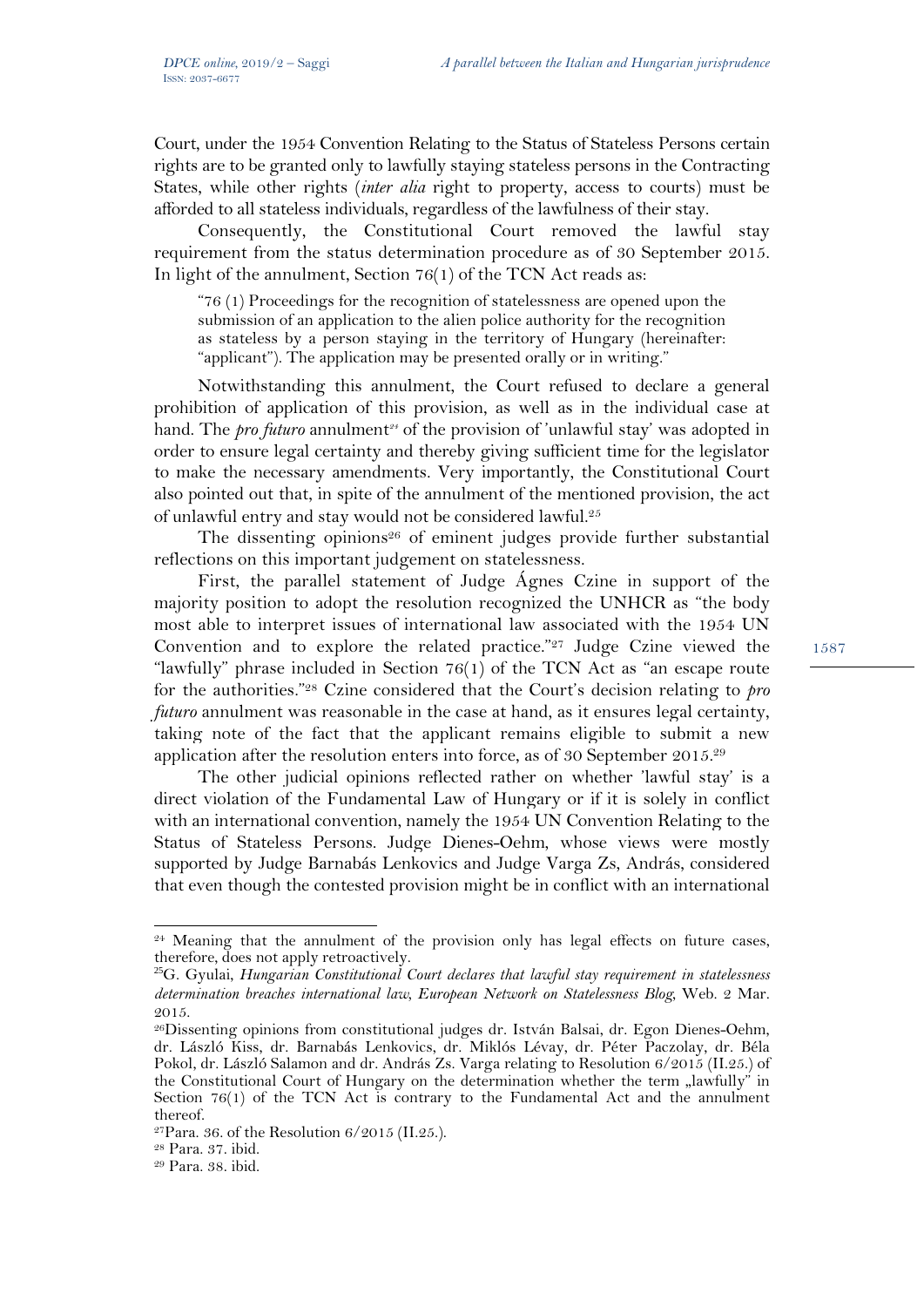Court, under the 1954 Convention Relating to the Status of Stateless Persons certain rights are to be granted only to lawfully staying stateless persons in the Contracting States, while other rights (*inter alia* right to property, access to courts) must be afforded to all stateless individuals, regardless of the lawfulness of their stay.

Consequently, the Constitutional Court removed the lawful stay requirement from the status determination procedure as of 30 September 2015. In light of the annulment, Section 76(1) of the TCN Act reads as:

"76 (1) Proceedings for the recognition of statelessness are opened upon the submission of an application to the alien police authority for the recognition as stateless by a person staying in the territory of Hungary (hereinafter: "applicant"). The application may be presented orally or in writing."

Notwithstanding this annulment, the Court refused to declare a general prohibition of application of this provision, as well as in the individual case at hand. The *pro futuro* annulment*24* of the provision of 'unlawful stay' was adopted in order to ensure legal certainty and thereby giving sufficient time for the legislator to make the necessary amendments. Very importantly, the Constitutional Court also pointed out that, in spite of the annulment of the mentioned provision, the act of unlawful entry and stay would not be considered lawful.25

The dissenting opinions<sup>26</sup> of eminent judges provide further substantial reflections on this important judgement on statelessness.

First, the parallel statement of Judge Ágnes Czine in support of the majority position to adopt the resolution recognized the UNHCR as "the body most able to interpret issues of international law associated with the 1954 UN Convention and to explore the related practice."27 Judge Czine viewed the "lawfully" phrase included in Section  $76(1)$  of the TCN Act as "an escape route for the authorities."28 Czine considered that the Court's decision relating to *pro futuro* annulment was reasonable in the case at hand, as it ensures legal certainty, taking note of the fact that the applicant remains eligible to submit a new application after the resolution enters into force, as of 30 September 2015.29

The other judicial opinions reflected rather on whether 'lawful stay' is a direct violation of the Fundamental Law of Hungary or if it is solely in conflict with an international convention, namely the 1954 UN Convention Relating to the Status of Stateless Persons. Judge Dienes-Oehm, whose views were mostly supported by Judge Barnabás Lenkovics and Judge Varga Zs, András, considered that even though the contested provision might be in conflict with an international

 $24$  Meaning that the annulment of the provision only has legal effects on future cases, therefore, does not apply retroactively.

<sup>25</sup>G. Gyulai, *Hungarian Constitutional Court declares that lawful stay requirement in statelessness determination breaches international law, European Network on Statelessness Blog*, Web. 2 Mar. 2015.

<sup>26</sup>Dissenting opinions from constitutional judges dr. István Balsai, dr. Egon Dienes-Oehm, dr. László Kiss, dr. Barnabás Lenkovics, dr. Miklós Lévay, dr. Péter Paczolay, dr. Béla Pokol, dr. László Salamon and dr. András Zs. Varga relating to Resolution 6/2015 (II.25.) of the Constitutional Court of Hungary on the determination whether the term  $\mu$ lawfully" in Section 76(1) of the TCN Act is contrary to the Fundamental Act and the annulment thereof.

 $27$ Para. 36. of the Resolution  $6/2015$  (II.25.).

<sup>28</sup> Para. 37. ibid.

<sup>29</sup> Para. 38. ibid.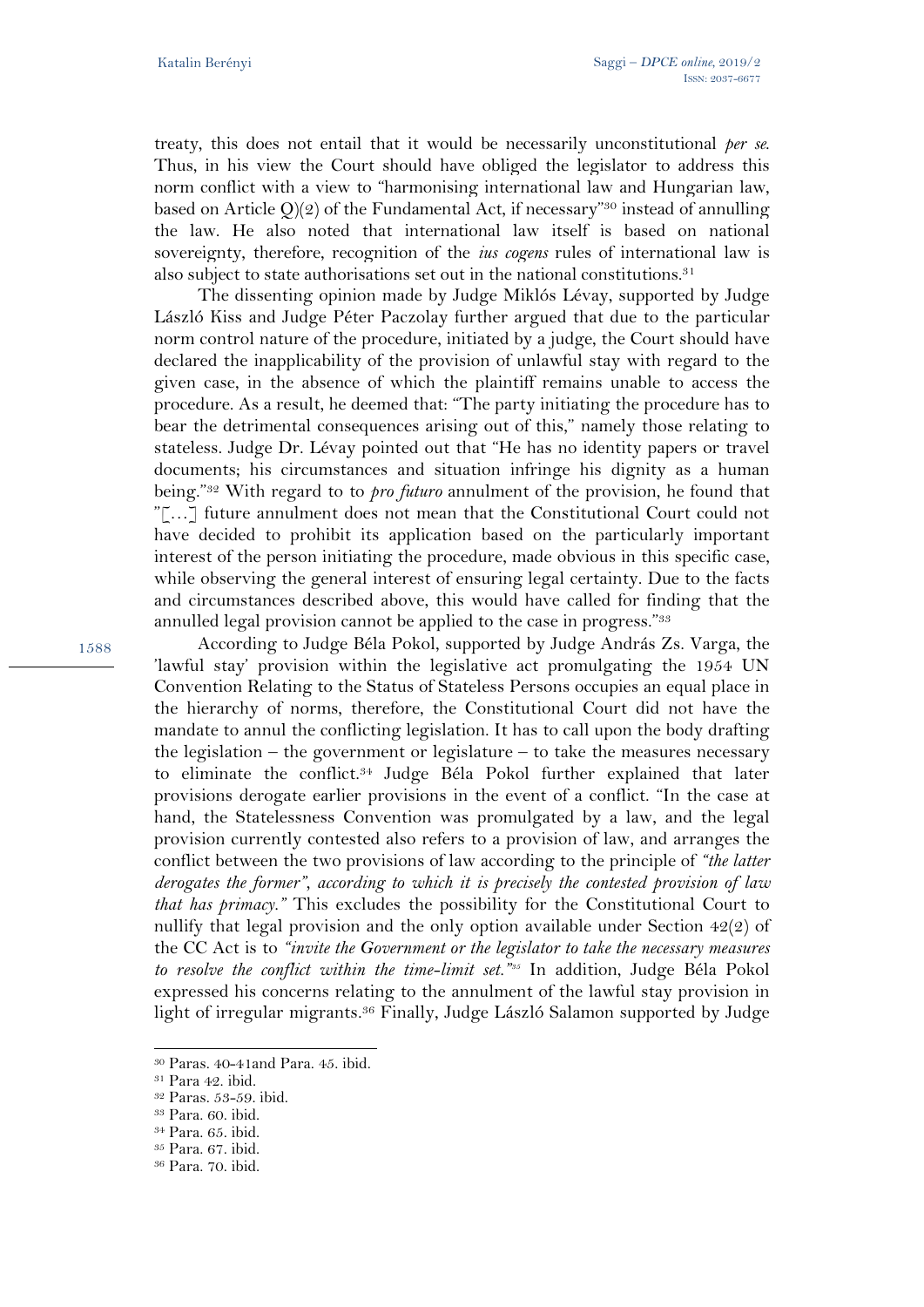treaty, this does not entail that it would be necessarily unconstitutional *per se*. Thus, in his view the Court should have obliged the legislator to address this norm conflict with a view to "harmonising international law and Hungarian law, based on Article  $Q(2)$  of the Fundamental Act, if necessary"<sup>30</sup> instead of annulling the law. He also noted that international law itself is based on national sovereignty, therefore, recognition of the *ius cogens* rules of international law is also subject to state authorisations set out in the national constitutions.<sup>31</sup>

The dissenting opinion made by Judge Miklós Lévay, supported by Judge László Kiss and Judge Péter Paczolay further argued that due to the particular norm control nature of the procedure, initiated by a judge, the Court should have declared the inapplicability of the provision of unlawful stay with regard to the given case, in the absence of which the plaintiff remains unable to access the procedure. As a result, he deemed that: "The party initiating the procedure has to bear the detrimental consequences arising out of this," namely those relating to stateless. Judge Dr. Lévay pointed out that "He has no identity papers or travel documents; his circumstances and situation infringe his dignity as a human being."32 With regard to to *pro futuro* annulment of the provision, he found that "[…] future annulment does not mean that the Constitutional Court could not have decided to prohibit its application based on the particularly important interest of the person initiating the procedure, made obvious in this specific case, while observing the general interest of ensuring legal certainty. Due to the facts and circumstances described above, this would have called for finding that the annulled legal provision cannot be applied to the case in progress."33

According to Judge Béla Pokol, supported by Judge András Zs. Varga, the 'lawful stay' provision within the legislative act promulgating the 1954 UN Convention Relating to the Status of Stateless Persons occupies an equal place in the hierarchy of norms, therefore, the Constitutional Court did not have the mandate to annul the conflicting legislation. It has to call upon the body drafting the legislation – the government or legislature – to take the measures necessary to eliminate the conflict.34 Judge Béla Pokol further explained that later provisions derogate earlier provisions in the event of a conflict. "In the case at hand, the Statelessness Convention was promulgated by a law, and the legal provision currently contested also refers to a provision of law, and arranges the conflict between the two provisions of law according to the principle of *"the latter derogates the former", according to which it is precisely the contested provision of law that has primacy."* This excludes the possibility for the Constitutional Court to nullify that legal provision and the only option available under Section 42(2) of the CC Act is to *"invite the Government or the legislator to take the necessary measures to resolve the conflict within the time-limit set."35* In addition, Judge Béla Pokol expressed his concerns relating to the annulment of the lawful stay provision in light of irregular migrants.<sup>36</sup> Finally, Judge László Salamon supported by Judge

<sup>30</sup> Paras. 40-41and Para. 45. ibid.

<sup>31</sup> Para 42. ibid.

<sup>32</sup> Paras. 53-59. ibid.

<sup>33</sup> Para. 60. ibid.

<sup>34</sup> Para. 65. ibid.

<sup>35</sup> Para. 67. ibid.

<sup>36</sup> Para. 70. ibid.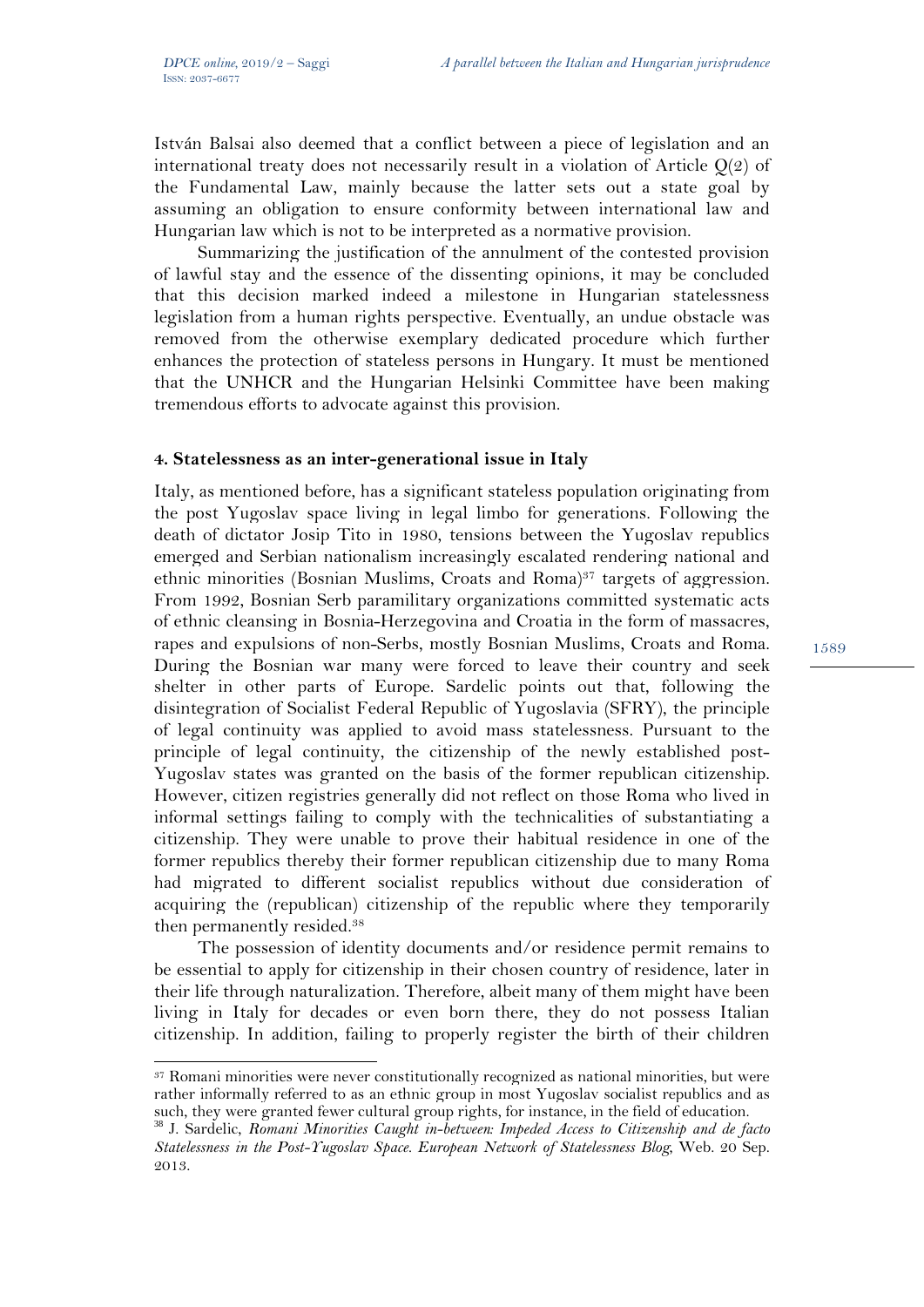István Balsai also deemed that a conflict between a piece of legislation and an international treaty does not necessarily result in a violation of Article Q(2) of the Fundamental Law, mainly because the latter sets out a state goal by assuming an obligation to ensure conformity between international law and Hungarian law which is not to be interpreted as a normative provision.

Summarizing the justification of the annulment of the contested provision of lawful stay and the essence of the dissenting opinions, it may be concluded that this decision marked indeed a milestone in Hungarian statelessness legislation from a human rights perspective. Eventually, an undue obstacle was removed from the otherwise exemplary dedicated procedure which further enhances the protection of stateless persons in Hungary. It must be mentioned that the UNHCR and the Hungarian Helsinki Committee have been making tremendous efforts to advocate against this provision.

### **4. Statelessness as an inter-generational issue in Italy**

Italy, as mentioned before, has a significant stateless population originating from the post Yugoslav space living in legal limbo for generations. Following the death of dictator Josip Tito in 1980, tensions between the Yugoslav republics emerged and Serbian nationalism increasingly escalated rendering national and ethnic minorities (Bosnian Muslims, Croats and Roma)<sup>37</sup> targets of aggression. From 1992, Bosnian Serb paramilitary organizations committed systematic acts of ethnic cleansing in Bosnia-Herzegovina and Croatia in the form of massacres, rapes and expulsions of non-Serbs, mostly Bosnian Muslims, Croats and Roma. During the Bosnian war many were forced to leave their country and seek shelter in other parts of Europe. Sardelic points out that, following the disintegration of Socialist Federal Republic of Yugoslavia (SFRY), the principle of legal continuity was applied to avoid mass statelessness. Pursuant to the principle of legal continuity, the citizenship of the newly established post-Yugoslav states was granted on the basis of the former republican citizenship. However, citizen registries generally did not reflect on those Roma who lived in informal settings failing to comply with the technicalities of substantiating a citizenship. They were unable to prove their habitual residence in one of the former republics thereby their former republican citizenship due to many Roma had migrated to different socialist republics without due consideration of acquiring the (republican) citizenship of the republic where they temporarily then permanently resided.38

The possession of identity documents and/or residence permit remains to be essential to apply for citizenship in their chosen country of residence, later in their life through naturalization. Therefore, albeit many of them might have been living in Italy for decades or even born there, they do not possess Italian citizenship. In addition, failing to properly register the birth of their children

l <sup>37</sup> Romani minorities were never constitutionally recognized as national minorities, but were rather informally referred to as an ethnic group in most Yugoslav socialist republics and as such, they were granted fewer cultural group rights, for instance, in the field of education.

<sup>38</sup> J. Sardelic, *Romani Minorities Caught in-between: Impeded Access to Citizenship and de facto Statelessness in the Post-Yugoslav Space. European Network of Statelessness Blog*, Web. 20 Sep. 2013.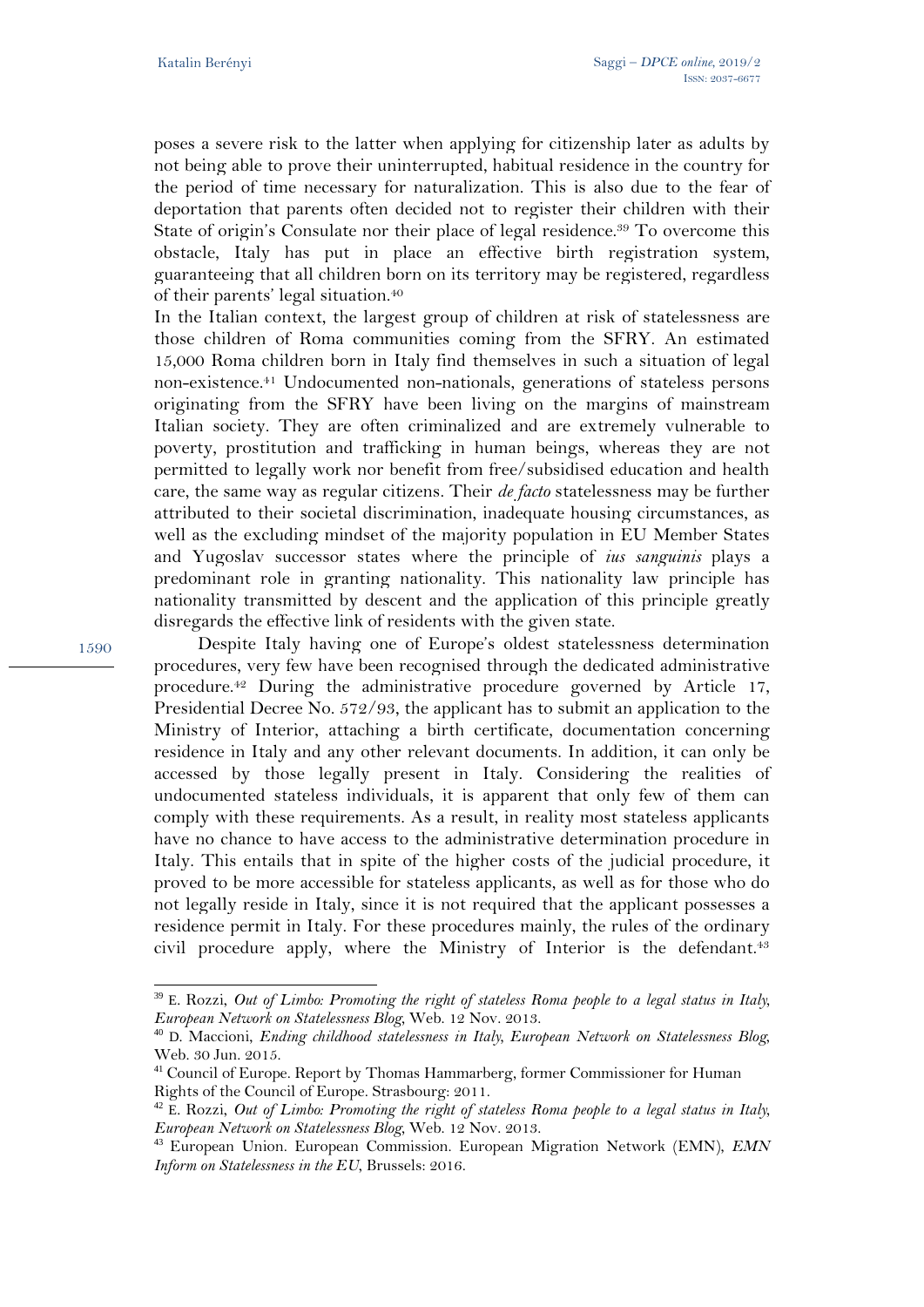poses a severe risk to the latter when applying for citizenship later as adults by not being able to prove their uninterrupted, habitual residence in the country for the period of time necessary for naturalization. This is also due to the fear of deportation that parents often decided not to register their children with their State of origin's Consulate nor their place of legal residence.<sup>39</sup> To overcome this obstacle, Italy has put in place an effective birth registration system, guaranteeing that all children born on its territory may be registered, regardless of their parents' legal situation.40

In the Italian context, the largest group of children at risk of statelessness are those children of Roma communities coming from the SFRY. An estimated 15,000 Roma children born in Italy find themselves in such a situation of legal non-existence.41 Undocumented non-nationals, generations of stateless persons originating from the SFRY have been living on the margins of mainstream Italian society. They are often criminalized and are extremely vulnerable to poverty, prostitution and trafficking in human beings, whereas they are not permitted to legally work nor benefit from free/subsidised education and health care, the same way as regular citizens. Their *de facto* statelessness may be further attributed to their societal discrimination, inadequate housing circumstances, as well as the excluding mindset of the majority population in EU Member States and Yugoslav successor states where the principle of *ius sanguinis* plays a predominant role in granting nationality. This nationality law principle has nationality transmitted by descent and the application of this principle greatly disregards the effective link of residents with the given state.

1590

 $\overline{a}$ 

Despite Italy having one of Europe's oldest statelessness determination procedures, very few have been recognised through the dedicated administrative procedure.42 During the administrative procedure governed by Article 17, Presidential Decree No. 572/93, the applicant has to submit an application to the Ministry of Interior, attaching a birth certificate, documentation concerning residence in Italy and any other relevant documents. In addition, it can only be accessed by those legally present in Italy. Considering the realities of undocumented stateless individuals, it is apparent that only few of them can comply with these requirements. As a result, in reality most stateless applicants have no chance to have access to the administrative determination procedure in Italy. This entails that in spite of the higher costs of the judicial procedure, it proved to be more accessible for stateless applicants, as well as for those who do not legally reside in Italy, since it is not required that the applicant possesses a residence permit in Italy. For these procedures mainly, the rules of the ordinary civil procedure apply, where the Ministry of Interior is the defendant.<sup>43</sup>

<sup>39</sup> E. Rozzi, *Out of Limbo: Promoting the right of stateless Roma people to a legal status in Italy, European Network on Statelessness Blog*, Web. 12 Nov. 2013.

<sup>40</sup> D. Maccioni, *Ending childhood statelessness in Italy, European Network on Statelessness Blog*, Web. 30 Jun. 2015.

<sup>&</sup>lt;sup>41</sup> Council of Europe. Report by Thomas Hammarberg, former Commissioner for Human Rights of the Council of Europe. Strasbourg: 2011.

<sup>42</sup> E. Rozzi, *Out of Limbo: Promoting the right of stateless Roma people to a legal status in Italy, European Network on Statelessness Blog*, Web. 12 Nov. 2013.

<sup>43</sup> European Union. European Commission. European Migration Network (EMN), *EMN Inform on Statelessness in the EU*, Brussels: 2016.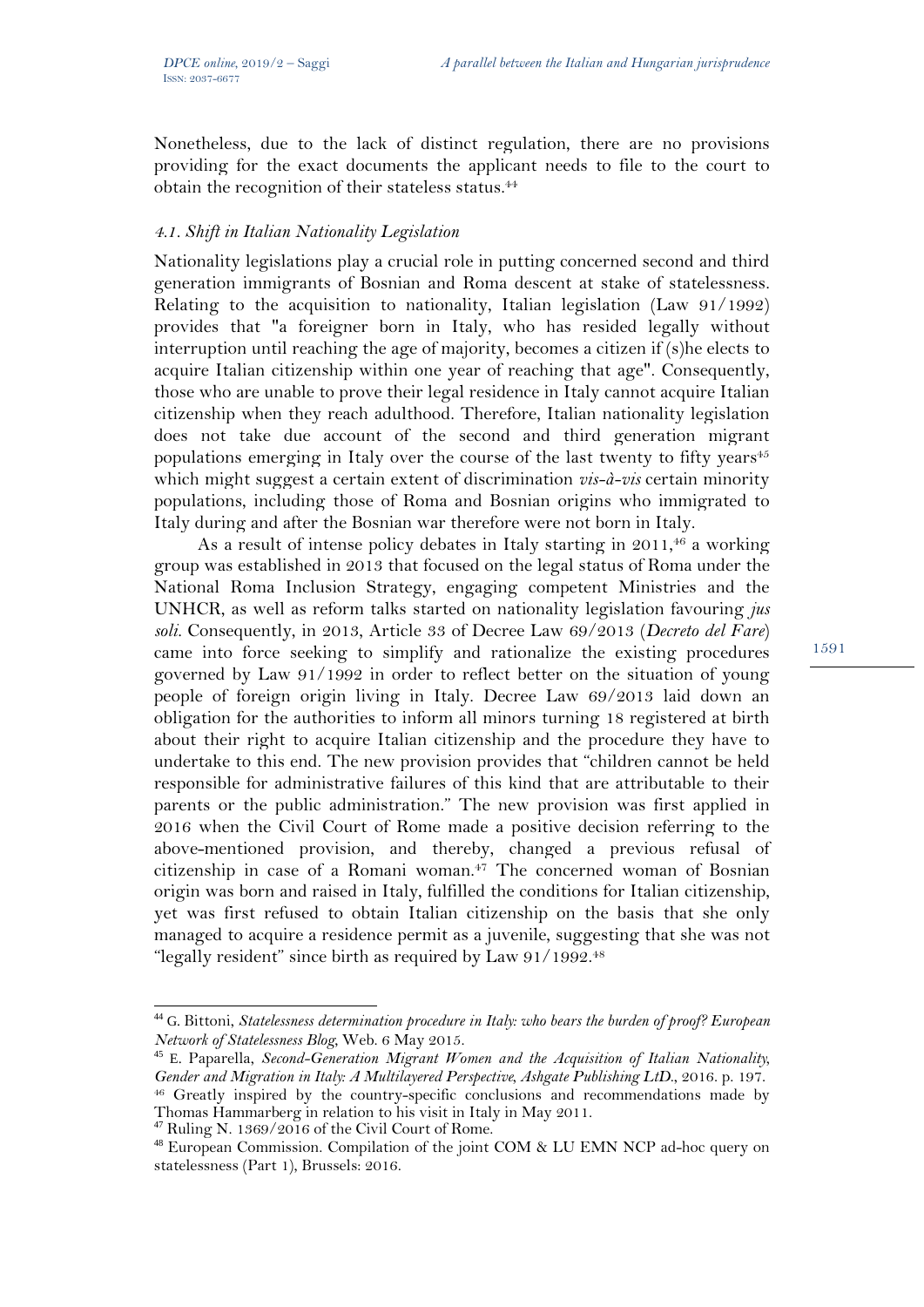Nonetheless, due to the lack of distinct regulation, there are no provisions providing for the exact documents the applicant needs to file to the court to obtain the recognition of their stateless status.44

### *4.1. Shift in Italian Nationality Legislation*

Nationality legislations play a crucial role in putting concerned second and third generation immigrants of Bosnian and Roma descent at stake of statelessness. Relating to the acquisition to nationality, Italian legislation (Law 91/1992) provides that "a foreigner born in Italy, who has resided legally without interruption until reaching the age of majority, becomes a citizen if (s)he elects to acquire Italian citizenship within one year of reaching that age". Consequently, those who are unable to prove their legal residence in Italy cannot acquire Italian citizenship when they reach adulthood. Therefore, Italian nationality legislation does not take due account of the second and third generation migrant populations emerging in Italy over the course of the last twenty to fifty years $45$ which might suggest a certain extent of discrimination *vis-à-vis* certain minority populations, including those of Roma and Bosnian origins who immigrated to Italy during and after the Bosnian war therefore were not born in Italy.

As a result of intense policy debates in Italy starting in 2011,<sup>46</sup> a working group was established in 2013 that focused on the legal status of Roma under the National Roma Inclusion Strategy, engaging competent Ministries and the UNHCR, as well as reform talks started on nationality legislation favouring *jus soli.* Consequently, in 2013, Article 33 of Decree Law 69/2013 (*Decreto del Fare*) came into force seeking to simplify and rationalize the existing procedures governed by Law 91/1992 in order to reflect better on the situation of young people of foreign origin living in Italy. Decree Law 69/2013 laid down an obligation for the authorities to inform all minors turning 18 registered at birth about their right to acquire Italian citizenship and the procedure they have to undertake to this end. The new provision provides that "children cannot be held responsible for administrative failures of this kind that are attributable to their parents or the public administration." The new provision was first applied in 2016 when the Civil Court of Rome made a positive decision referring to the above-mentioned provision, and thereby, changed a previous refusal of citizenship in case of a Romani woman.47 The concerned woman of Bosnian origin was born and raised in Italy, fulfilled the conditions for Italian citizenship, yet was first refused to obtain Italian citizenship on the basis that she only managed to acquire a residence permit as a juvenile, suggesting that she was not "legally resident" since birth as required by Law 91/1992.<sup>48</sup>

l

<sup>&</sup>lt;sup>44</sup> G. Bittoni, *Statelessness determination procedure in Italy: who bears the burden of proof? European Network of Statelessness Blog*, Web. 6 May 2015.

<sup>45</sup> E. Paparella, *Second-Generation Migrant Women and the Acquisition of Italian Nationality, Gender and Migration in Italy: A Multilayered Perspective, Ashgate Publishing LtD*., 2016. p. 197. <sup>46</sup> Greatly inspired by the country-specific conclusions and recommendations made by Thomas Hammarberg in relation to his visit in Italy in May 2011.

 $47$  Ruling N. 1369/2016 of the Civil Court of Rome.

<sup>48</sup> European Commission. Compilation of the joint COM & LU EMN NCP ad-hoc query on statelessness (Part 1), Brussels: 2016.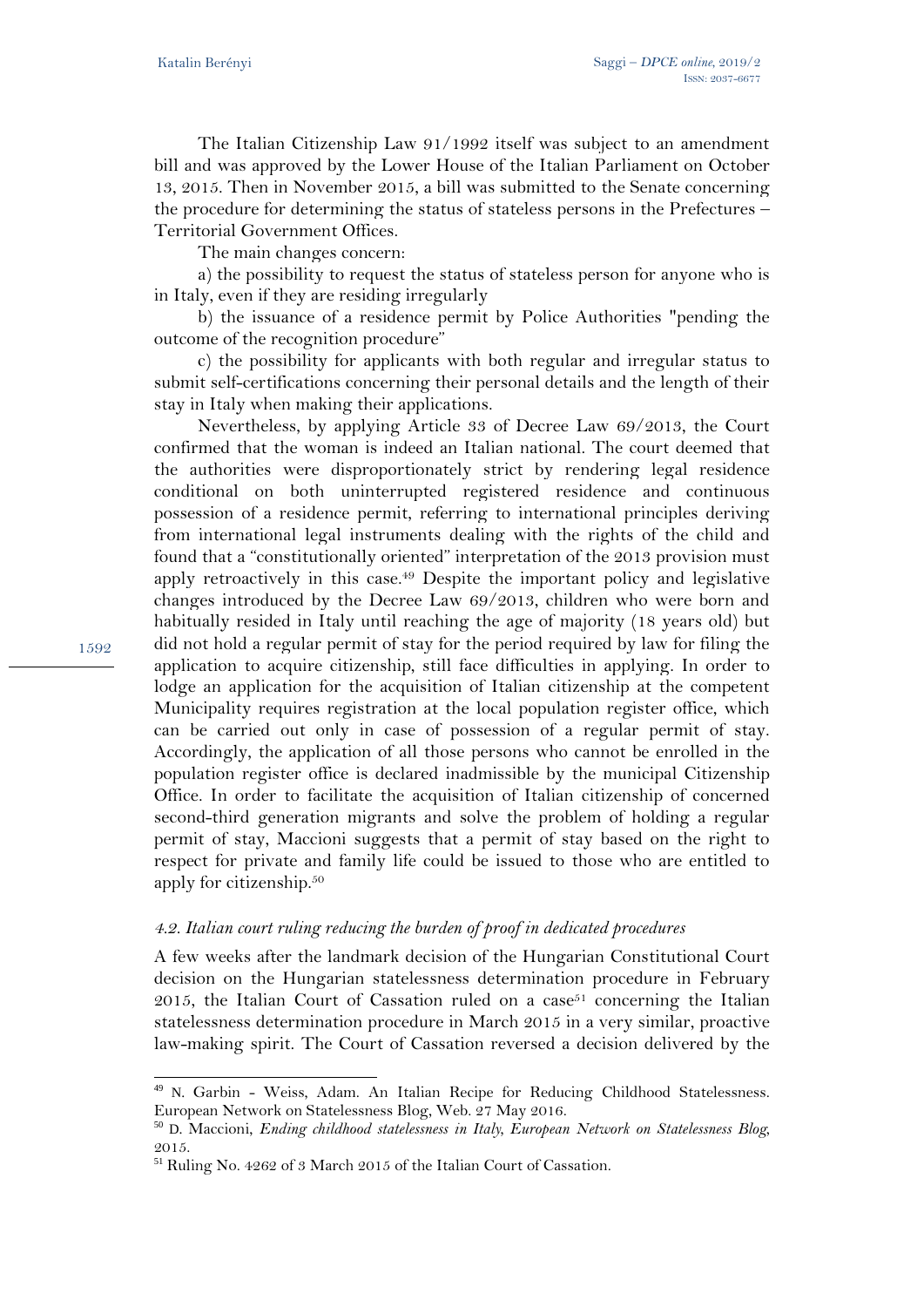The Italian Citizenship Law 91/1992 itself was subject to an amendment bill and was approved by the Lower House of the Italian Parliament on October 13, 2015. Then in November 2015, a bill was submitted to the Senate concerning the procedure for determining the status of stateless persons in the Prefectures – Territorial Government Offices.

The main changes concern:

a) the possibility to request the status of stateless person for anyone who is in Italy, even if they are residing irregularly

b) the issuance of a residence permit by Police Authorities "pending the outcome of the recognition procedure"

c) the possibility for applicants with both regular and irregular status to submit self-certifications concerning their personal details and the length of their stay in Italy when making their applications.

Nevertheless, by applying Article 33 of Decree Law 69/2013, the Court confirmed that the woman is indeed an Italian national. The court deemed that the authorities were disproportionately strict by rendering legal residence conditional on both uninterrupted registered residence and continuous possession of a residence permit, referring to international principles deriving from international legal instruments dealing with the rights of the child and found that a "constitutionally oriented" interpretation of the 2013 provision must apply retroactively in this case.49 Despite the important policy and legislative changes introduced by the Decree Law 69/2013, children who were born and habitually resided in Italy until reaching the age of majority (18 years old) but did not hold a regular permit of stay for the period required by law for filing the application to acquire citizenship, still face difficulties in applying. In order to lodge an application for the acquisition of Italian citizenship at the competent Municipality requires registration at the local population register office, which can be carried out only in case of possession of a regular permit of stay. Accordingly, the application of all those persons who cannot be enrolled in the population register office is declared inadmissible by the municipal Citizenship Office. In order to facilitate the acquisition of Italian citizenship of concerned second-third generation migrants and solve the problem of holding a regular permit of stay, Maccioni suggests that a permit of stay based on the right to respect for private and family life could be issued to those who are entitled to apply for citizenship.50

### *4.2. Italian court ruling reducing the burden of proof in dedicated procedures*

A few weeks after the landmark decision of the Hungarian Constitutional Court decision on the Hungarian statelessness determination procedure in February 2015, the Italian Court of Cassation ruled on a case<sup>51</sup> concerning the Italian statelessness determination procedure in March 2015 in a very similar, proactive law-making spirit. The Court of Cassation reversed a decision delivered by the

 $\overline{a}$ 49 N. Garbin - Weiss, Adam. An Italian Recipe for Reducing Childhood Statelessness. European Network on Statelessness Blog, Web. 27 May 2016.

<sup>50</sup> D. Maccioni, *Ending childhood statelessness in Italy, European Network on Statelessness Blog*, 2015.

<sup>51</sup> Ruling No. 4262 of 3 March 2015 of the Italian Court of Cassation.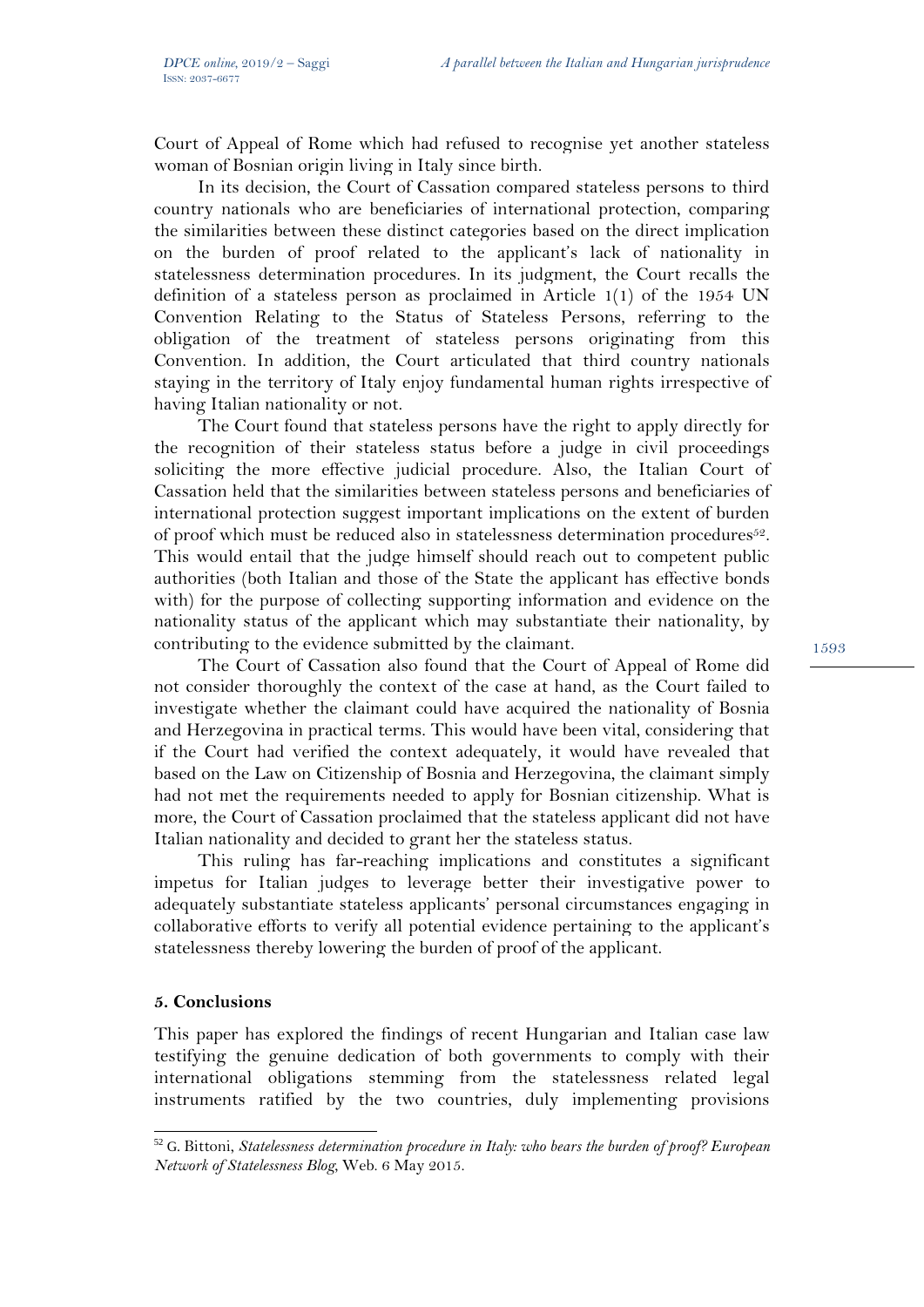Court of Appeal of Rome which had refused to recognise yet another stateless woman of Bosnian origin living in Italy since birth.

In its decision, the Court of Cassation compared stateless persons to third country nationals who are beneficiaries of international protection, comparing the similarities between these distinct categories based on the direct implication on the burden of proof related to the applicant's lack of nationality in statelessness determination procedures. In its judgment, the Court recalls the definition of a stateless person as proclaimed in Article 1(1) of the 1954 UN Convention Relating to the Status of Stateless Persons, referring to the obligation of the treatment of stateless persons originating from this Convention. In addition, the Court articulated that third country nationals staying in the territory of Italy enjoy fundamental human rights irrespective of having Italian nationality or not.

The Court found that stateless persons have the right to apply directly for the recognition of their stateless status before a judge in civil proceedings soliciting the more effective judicial procedure. Also, the Italian Court of Cassation held that the similarities between stateless persons and beneficiaries of international protection suggest important implications on the extent of burden of proof which must be reduced also in statelessness determination procedures<sup>52</sup>. This would entail that the judge himself should reach out to competent public authorities (both Italian and those of the State the applicant has effective bonds with) for the purpose of collecting supporting information and evidence on the nationality status of the applicant which may substantiate their nationality, by contributing to the evidence submitted by the claimant.

The Court of Cassation also found that the Court of Appeal of Rome did not consider thoroughly the context of the case at hand, as the Court failed to investigate whether the claimant could have acquired the nationality of Bosnia and Herzegovina in practical terms. This would have been vital, considering that if the Court had verified the context adequately, it would have revealed that based on the Law on Citizenship of Bosnia and Herzegovina, the claimant simply had not met the requirements needed to apply for Bosnian citizenship. What is more, the Court of Cassation proclaimed that the stateless applicant did not have Italian nationality and decided to grant her the stateless status.

This ruling has far-reaching implications and constitutes a significant impetus for Italian judges to leverage better their investigative power to adequately substantiate stateless applicants' personal circumstances engaging in collaborative efforts to verify all potential evidence pertaining to the applicant's statelessness thereby lowering the burden of proof of the applicant.

### **5. Conclusions**

 $\overline{a}$ 

This paper has explored the findings of recent Hungarian and Italian case law testifying the genuine dedication of both governments to comply with their international obligations stemming from the statelessness related legal instruments ratified by the two countries, duly implementing provisions

<sup>52</sup> G. Bittoni, *Statelessness determination procedure in Italy: who bears the burden of proof? European Network of Statelessness Blog*, Web. 6 May 2015.